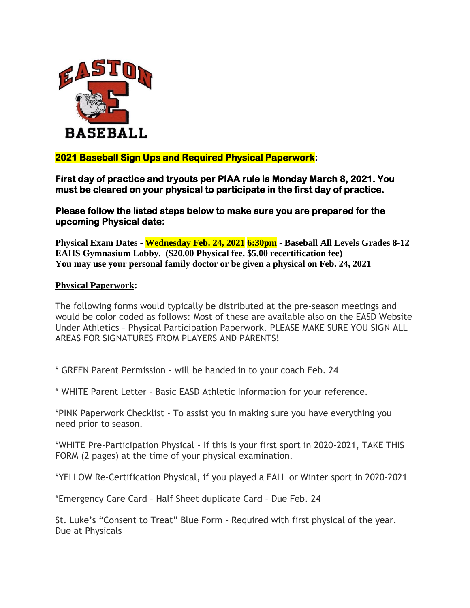

## **2021 Baseball Sign Ups and Required Physical Paperwork:**

**First day of practice and tryouts per PIAA rule is Monday March 8, 2021. You must be cleared on your physical to participate in the first day of practice.** 

**Please follow the listed steps below to make sure you are prepared for the upcoming Physical date:** 

**Physical Exam Dates - Wednesday Feb. 24, 2021 6:30pm - Baseball All Levels Grades 8-12 EAHS Gymnasium Lobby. (\$20.00 Physical fee, \$5.00 recertification fee) You may use your personal family doctor or be given a physical on Feb. 24, 2021** 

## **Physical Paperwork:**

The following forms would typically be distributed at the pre-season meetings and would be color coded as follows: Most of these are available also on the EASD Website Under Athletics – Physical Participation Paperwork. PLEASE MAKE SURE YOU SIGN ALL AREAS FOR SIGNATURES FROM PLAYERS AND PARENTS!

\* GREEN Parent Permission - will be handed in to your coach Feb. 24

\* WHITE Parent Letter - Basic EASD Athletic Information for your reference.

\*PINK Paperwork Checklist - To assist you in making sure you have everything you need prior to season.

\*WHITE Pre-Participation Physical - If this is your first sport in 2020-2021, TAKE THIS FORM (2 pages) at the time of your physical examination.

\*YELLOW Re-Certification Physical, if you played a FALL or Winter sport in 2020-2021

\*Emergency Care Card – Half Sheet duplicate Card – Due Feb. 24

St. Luke's "Consent to Treat" Blue Form – Required with first physical of the year. Due at Physicals